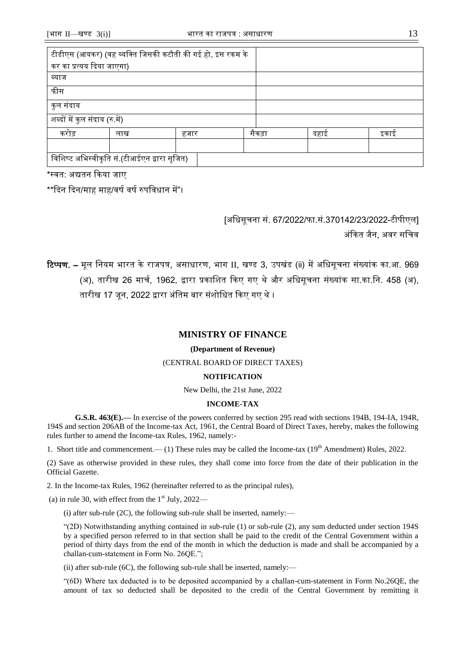# **MINISTRY OF FINANCE**

#### **(Department of Revenue)**

#### (CENTRAL BOARD OF DIRECT TAXES)

## **NOTIFICATION**

New Delhi, the 21st June, 2022

## **INCOME-TAX**

**G.S.R. 463(E).––** In exercise of the powers conferred by section 295 read with sections 194B, 194-IA, 194R, 194S and section 206AB of the Income-tax Act, 1961, the Central Board of Direct Taxes, hereby, makes the following rules further to amend the Income-tax Rules, 1962, namely:-

1. Short title and commencement.—— (1) These rules may be called the Income-tax ( $19<sup>th</sup>$  Amendment) Rules, 2022.

(2) Save as otherwise provided in these rules, they shall come into force from the date of their publication in the Official Gazette.

2. In the Income-tax Rules, 1962 (hereinafter referred to as the principal rules),

(a) in rule 30, with effect from the  $1<sup>st</sup>$  July, 2022—

(i) after sub-rule  $(2C)$ , the following sub-rule shall be inserted, namely:—

"(2D) Notwithstanding anything contained in sub-rule (1) or sub-rule (2), any sum deducted under section 194S by a specified person referred to in that section shall be paid to the credit of the Central Government within a period of thirty days from the end of the month in which the deduction is made and shall be accompanied by a challan-cum-statement in Form No. 26QE.";

(ii) after sub-rule (6C), the following sub-rule shall be inserted, namely:—

"(6D) Where tax deducted is to be deposited accompanied by a challan-cum-statement in Form No.26QE, the amount of tax so deducted shall be deposited to the credit of the Central Government by remitting it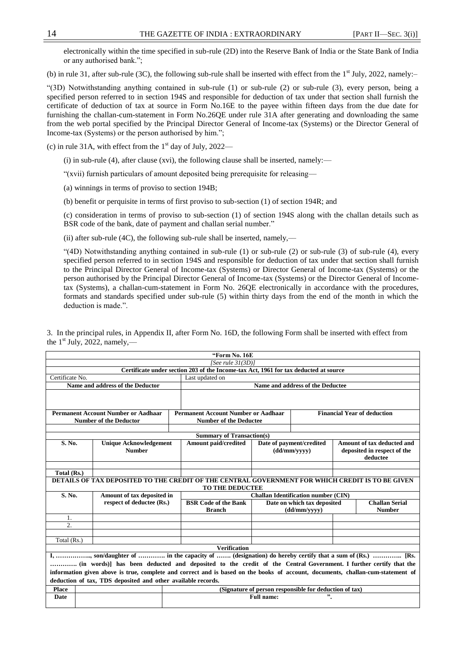electronically within the time specified in sub-rule (2D) into the Reserve Bank of India or the State Bank of India or any authorised bank.";

(b) in rule 31, after sub-rule (3C), the following sub-rule shall be inserted with effect from the  $1<sup>st</sup>$  July, 2022, namely:-

"(3D) Notwithstanding anything contained in sub-rule (1) or sub-rule (2) or sub-rule (3), every person, being a specified person referred to in section 194S and responsible for deduction of tax under that section shall furnish the certificate of deduction of tax at source in Form No.16E to the payee within fifteen days from the due date for furnishing the challan-cum-statement in Form No.26QE under rule 31A after generating and downloading the same from the web portal specified by the Principal Director General of Income-tax (Systems) or the Director General of Income-tax (Systems) or the person authorised by him.";

(c) in rule 31A, with effect from the  $1<sup>st</sup>$  day of July, 2022—

(i) in sub-rule (4), after clause (xvi), the following clause shall be inserted, namely:—

"(xvii) furnish particulars of amount deposited being prerequisite for releasing––

(a) winnings in terms of proviso to section 194B;

(b) benefit or perquisite in terms of first proviso to sub-section (1) of section 194R; and

(c) consideration in terms of proviso to sub-section (1) of section 194S along with the challan details such as BSR code of the bank, date of payment and challan serial number."

(ii) after sub-rule (4C), the following sub-rule shall be inserted, namely,—

"(4D) Notwithstanding anything contained in sub-rule (1) or sub-rule (2) or sub-rule (3) of sub-rule (4), every specified person referred to in section 194S and responsible for deduction of tax under that section shall furnish to the Principal Director General of Income-tax (Systems) or Director General of Income-tax (Systems) or the person authorised by the Principal Director General of Income-tax (Systems) or the Director General of Incometax (Systems), a challan-cum-statement in Form No. 26QE electronically in accordance with the procedures, formats and standards specified under sub-rule (5) within thirty days from the end of the month in which the deduction is made.".

|                 |                                                                             | "Form No. 16E                                                                                                                   |  |                                                     |                                                                       |                                        |  |  |  |  |  |  |  |
|-----------------|-----------------------------------------------------------------------------|---------------------------------------------------------------------------------------------------------------------------------|--|-----------------------------------------------------|-----------------------------------------------------------------------|----------------------------------------|--|--|--|--|--|--|--|
|                 |                                                                             | [See rule $31(3D)$ ]                                                                                                            |  |                                                     |                                                                       |                                        |  |  |  |  |  |  |  |
|                 |                                                                             | Certificate under section 203 of the Income-tax Act, 1961 for tax deducted at source                                            |  |                                                     |                                                                       |                                        |  |  |  |  |  |  |  |
| Certificate No. |                                                                             | Last updated on                                                                                                                 |  |                                                     |                                                                       |                                        |  |  |  |  |  |  |  |
|                 | Name and address of the Deductor                                            |                                                                                                                                 |  | Name and address of the Deductee                    |                                                                       |                                        |  |  |  |  |  |  |  |
|                 |                                                                             |                                                                                                                                 |  |                                                     |                                                                       |                                        |  |  |  |  |  |  |  |
|                 | <b>Permanent Account Number or Aadhaar</b><br><b>Number of the Deductor</b> | <b>Permanent Account Number or Aadhaar</b><br><b>Number of the Deductee</b>                                                     |  |                                                     |                                                                       | <b>Financial Year of deduction</b>     |  |  |  |  |  |  |  |
|                 |                                                                             |                                                                                                                                 |  |                                                     |                                                                       |                                        |  |  |  |  |  |  |  |
|                 |                                                                             | <b>Summary of Transaction(s)</b>                                                                                                |  |                                                     |                                                                       |                                        |  |  |  |  |  |  |  |
| S. No.          | <b>Unique Acknowledgement</b><br><b>Number</b>                              | <b>Amount paid/credited</b>                                                                                                     |  | Date of payment/credited<br>(dd/mm/yyyy)            | Amount of tax deducted and<br>deposited in respect of the<br>deductee |                                        |  |  |  |  |  |  |  |
|                 |                                                                             |                                                                                                                                 |  |                                                     |                                                                       |                                        |  |  |  |  |  |  |  |
| Total (Rs.)     |                                                                             |                                                                                                                                 |  |                                                     |                                                                       |                                        |  |  |  |  |  |  |  |
|                 |                                                                             | DETAILS OF TAX DEPOSITED TO THE CREDIT OF THE CENTRAL GOVERNMENT FOR WHICH CREDIT IS TO BE GIVEN<br><b>TO THE DEDUCTEE</b>      |  |                                                     |                                                                       |                                        |  |  |  |  |  |  |  |
| S. No.          | Amount of tax deposited in                                                  | <b>Challan Identification number (CIN)</b>                                                                                      |  |                                                     |                                                                       |                                        |  |  |  |  |  |  |  |
|                 | respect of deductee (Rs.)                                                   | <b>BSR Code of the Bank</b><br><b>Branch</b>                                                                                    |  | Date on which tax deposited<br>$(dd/\text{mm/yyy})$ |                                                                       | <b>Challan Serial</b><br><b>Number</b> |  |  |  |  |  |  |  |
| 1.              |                                                                             |                                                                                                                                 |  |                                                     |                                                                       |                                        |  |  |  |  |  |  |  |
| 2.              |                                                                             |                                                                                                                                 |  |                                                     |                                                                       |                                        |  |  |  |  |  |  |  |
|                 |                                                                             |                                                                                                                                 |  |                                                     |                                                                       |                                        |  |  |  |  |  |  |  |
| Total (Rs.)     |                                                                             |                                                                                                                                 |  |                                                     |                                                                       |                                        |  |  |  |  |  |  |  |
|                 |                                                                             | <b>Verification</b>                                                                                                             |  |                                                     |                                                                       |                                        |  |  |  |  |  |  |  |
|                 |                                                                             | I, , son/daughter of  in the capacity of  (designation) do hereby certify that a sum of (Rs.)  [Rs.                             |  |                                                     |                                                                       |                                        |  |  |  |  |  |  |  |
|                 |                                                                             | (in words)] has been deducted and deposited to the credit of the Central Government. I further certify that the                 |  |                                                     |                                                                       |                                        |  |  |  |  |  |  |  |
|                 |                                                                             | information given above is true, complete and correct and is based on the books of account, documents, challan-cum-statement of |  |                                                     |                                                                       |                                        |  |  |  |  |  |  |  |
|                 | deduction of tax, TDS deposited and other available records.                |                                                                                                                                 |  |                                                     |                                                                       |                                        |  |  |  |  |  |  |  |
| <b>Place</b>    |                                                                             |                                                                                                                                 |  |                                                     |                                                                       |                                        |  |  |  |  |  |  |  |
| Date            |                                                                             | (Signature of person responsible for deduction of tax)<br>".<br>Full name:                                                      |  |                                                     |                                                                       |                                        |  |  |  |  |  |  |  |

3. In the principal rules, in Appendix II, after Form No. 16D, the following Form shall be inserted with effect from the  $1<sup>st</sup>$  July, 2022, namely,—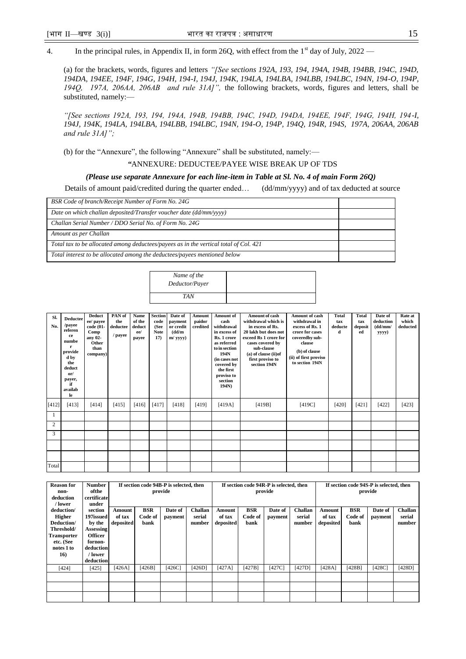4. In the principal rules, in Appendix II, in form 26Q, with effect from the  $1<sup>st</sup>$  day of July, 2022 –

(a) for the brackets, words, figures and letters *"[See sections 192A, 193, 194, 194A, 194B, 194BB, 194C, 194D, 194DA, 194EE, 194F, 194G, 194H, 194-I, 194J, 194K, 194LA, 194LBA, 194LBB, 194LBC, 194N, 194-O, 194P, 194Q, 197A, 206AA, 206AB and rule 31A]",* the following brackets, words, figures and letters, shall be substituted, namely:––

*"[See sections 192A, 193, 194, 194A, 194B, 194BB, 194C, 194D, 194DA, 194EE, 194F, 194G, 194H, 194-I, 194J, 194K, 194LA, 194LBA, 194LBB, 194LBC, 194N, 194-O, 194P, 194Q, 194R, 194S, 197A, 206AA, 206AB and rule 31A]";* 

(b) for the "Annexure", the following "Annexure" shall be substituted, namely:—

*"*ANNEXURE: DEDUCTEE/PAYEE WISE BREAK UP OF TDS

#### *(Please use separate Annexure for each line-item in Table at Sl. No. 4 of main Form 26Q)*

Details of amount paid/credited during the quarter ended… (dd/mm/yyyy) and of tax deducted at source

| BSR Code of branch/Receipt Number of Form No. 24G                                     |  |
|---------------------------------------------------------------------------------------|--|
| Date on which challan deposited/Transfer voucher date (dd/mm/yyyy)                    |  |
| Challan Serial Number / DDO Serial No. of Form No. 24G                                |  |
| Amount as per Challan                                                                 |  |
| Total tax to be allocated among deductees/payees as in the vertical total of Col. 421 |  |
| Total interest to be allocated among the deductees/payees mentioned below             |  |

| Name of the<br>Deductor/Payer |  |
|-------------------------------|--|
| TA N                          |  |

| Sl.<br>No.     | <b>Deductee</b><br>/payee<br>referen<br>ce<br>numbe<br>r<br>provide<br>d by<br>the<br>deduct<br>or/<br>payer,<br>if<br>availab<br>le | <b>Deduct</b><br>ee/ payee<br>code (01-<br>Comp<br>any 02-<br>Other<br>than<br>company) | PAN of<br>the<br>deductee<br>/ payee | Name<br>of the<br>deduct<br>ee/<br>payee | <b>Section</b><br>code<br>(See<br><b>Note</b><br>17) | Date of<br>payment<br>or credit<br>(dd/m<br>$m$ / yyyy $)$ | <b>Amount</b><br>paidor<br>credited | Amount of<br>cash<br>withdrawal<br>in excess of<br>Rs. 1 crore<br>as referred<br>to in section<br>194N<br>(in cases not<br>covered by<br>the first<br>proviso to<br>section<br>194N) | Amount of cash<br>withdrawal which is<br>in excess of Rs.<br>20 lakh but does not<br>exceed Rs 1 crore for<br>cases covered by<br>sub-clause<br>(a) of clause (ii) of<br>first proviso to<br>section 194N | Amount of cash<br>withdrawal in<br>excess of Rs. 1<br>crore for cases<br>coveredby sub-<br>clause<br>(b) of clause<br>(ii) of first proviso<br>to section 194N | <b>Total</b><br>tax<br>deducte<br>d | <b>Total</b><br>tax<br>deposit<br>ed | Date of<br>deduction<br>(dd/mm/<br>yyyy) | Rate at<br>which<br>deducted |
|----------------|--------------------------------------------------------------------------------------------------------------------------------------|-----------------------------------------------------------------------------------------|--------------------------------------|------------------------------------------|------------------------------------------------------|------------------------------------------------------------|-------------------------------------|--------------------------------------------------------------------------------------------------------------------------------------------------------------------------------------|-----------------------------------------------------------------------------------------------------------------------------------------------------------------------------------------------------------|----------------------------------------------------------------------------------------------------------------------------------------------------------------|-------------------------------------|--------------------------------------|------------------------------------------|------------------------------|
| [412]          | [413]                                                                                                                                | [414]                                                                                   | [415]                                | [416]                                    | [417]                                                | [418]                                                      | [419]                               | [419A]                                                                                                                                                                               | [419B]                                                                                                                                                                                                    | [419C]                                                                                                                                                         | [420]                               | [421]                                | [422]                                    | [423]                        |
|                |                                                                                                                                      |                                                                                         |                                      |                                          |                                                      |                                                            |                                     |                                                                                                                                                                                      |                                                                                                                                                                                                           |                                                                                                                                                                |                                     |                                      |                                          |                              |
| $\overline{c}$ |                                                                                                                                      |                                                                                         |                                      |                                          |                                                      |                                                            |                                     |                                                                                                                                                                                      |                                                                                                                                                                                                           |                                                                                                                                                                |                                     |                                      |                                          |                              |
| 3              |                                                                                                                                      |                                                                                         |                                      |                                          |                                                      |                                                            |                                     |                                                                                                                                                                                      |                                                                                                                                                                                                           |                                                                                                                                                                |                                     |                                      |                                          |                              |
|                |                                                                                                                                      |                                                                                         |                                      |                                          |                                                      |                                                            |                                     |                                                                                                                                                                                      |                                                                                                                                                                                                           |                                                                                                                                                                |                                     |                                      |                                          |                              |
|                |                                                                                                                                      |                                                                                         |                                      |                                          |                                                      |                                                            |                                     |                                                                                                                                                                                      |                                                                                                                                                                                                           |                                                                                                                                                                |                                     |                                      |                                          |                              |
| Total          |                                                                                                                                      |                                                                                         |                                      |                                          |                                                      |                                                            |                                     |                                                                                                                                                                                      |                                                                                                                                                                                                           |                                                                                                                                                                |                                     |                                      |                                          |                              |

| <b>Reason for</b><br>non-<br>deduction<br>/ lower                                                               | <b>Number</b><br>ofthe<br>certificate<br>under                                                                       |                               |                               | If section code 94B-P is selected, then<br>provide |                                    |                               |                               | If section code 94R-P is selected, then<br>provide |                                    |                               |                               | If section code 94S-P is selected, then<br>provide |                                    |
|-----------------------------------------------------------------------------------------------------------------|----------------------------------------------------------------------------------------------------------------------|-------------------------------|-------------------------------|----------------------------------------------------|------------------------------------|-------------------------------|-------------------------------|----------------------------------------------------|------------------------------------|-------------------------------|-------------------------------|----------------------------------------------------|------------------------------------|
| deduction/<br><b>Higher</b><br>Deduction/<br>Threshold/<br><b>Transporter</b><br>etc. (See<br>notes 1 to<br>16) | section<br>197issued<br>by the<br><b>Assessing</b><br><b>Officer</b><br>fornon-<br>deduction<br>/ lower<br>deduction | Amount<br>of tax<br>deposited | <b>BSR</b><br>Code of<br>bank | Date of<br>payment                                 | <b>Challan</b><br>serial<br>number | Amount<br>of tax<br>deposited | <b>BSR</b><br>Code of<br>bank | Date of<br>payment                                 | <b>Challan</b><br>serial<br>number | Amount<br>of tax<br>deposited | <b>BSR</b><br>Code of<br>bank | Date of<br>payment                                 | <b>Challan</b><br>serial<br>number |
| [424]                                                                                                           | [425]                                                                                                                | [426A]                        | [426B]                        | $[426C]$                                           | $[426D]$                           | [427A]                        | [427B]                        | [427C]                                             | [427D]                             | [428A]                        | [428B]                        | $[428C]$                                           | [428D]                             |
|                                                                                                                 |                                                                                                                      |                               |                               |                                                    |                                    |                               |                               |                                                    |                                    |                               |                               |                                                    |                                    |
|                                                                                                                 |                                                                                                                      |                               |                               |                                                    |                                    |                               |                               |                                                    |                                    |                               |                               |                                                    |                                    |
|                                                                                                                 |                                                                                                                      |                               |                               |                                                    |                                    |                               |                               |                                                    |                                    |                               |                               |                                                    |                                    |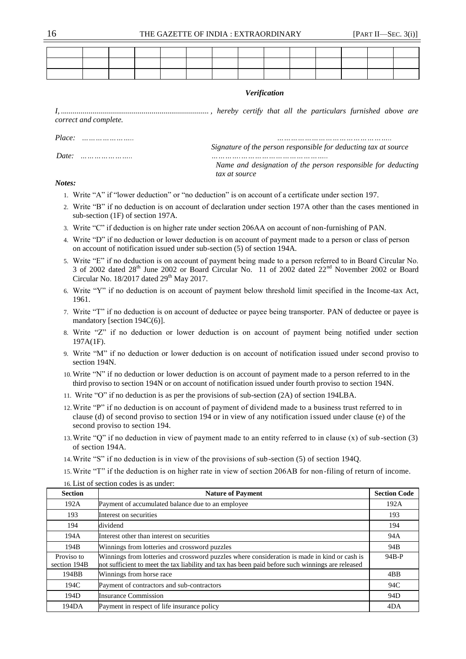| correct and complete. |  |  |               |                                                                 | <b>Verification</b> |  |  |                                                              |
|-----------------------|--|--|---------------|-----------------------------------------------------------------|---------------------|--|--|--------------------------------------------------------------|
|                       |  |  |               | Signature of the person responsible for deducting tax at source |                     |  |  |                                                              |
|                       |  |  | tax at source |                                                                 |                     |  |  | Name and designation of the person responsible for deducting |

#### *Notes:*

- 1. Write "A" if "lower deduction" or "no deduction" is on account of a certificate under section 197.
- 2. Write "B" if no deduction is on account of declaration under section 197A other than the cases mentioned in sub-section (1F) of section 197A.
- 3. Write "C" if deduction is on higher rate under section 206AA on account of non-furnishing of PAN.
- 4. Write "D" if no deduction or lower deduction is on account of payment made to a person or class of person on account of notification issued under sub-section (5) of section 194A.
- 5. Write "E" if no deduction is on account of payment being made to a person referred to in Board Circular No. 3 of 2002 dated 28<sup>th</sup> June 2002 or Board Circular No. 11 of 2002 dated 22<sup>nd</sup> November 2002 or Board Circular No. 18/2017 dated  $29<sup>th</sup>$  May 2017.
- 6. Write "Y" if no deduction is on account of payment below threshold limit specified in the Income-tax Act, 1961.
- 7. Write "T" if no deduction is on account of deductee or payee being transporter. PAN of deductee or payee is mandatory [section 194C(6)].
- 8. Write "Z" if no deduction or lower deduction is on account of payment being notified under section 197A(1F).
- 9. Write "M" if no deduction or lower deduction is on account of notification issued under second proviso to section 194N.
- 10. Write "N" if no deduction or lower deduction is on account of payment made to a person referred to in the third proviso to section 194N or on account of notification issued under fourth proviso to section 194N.
- 11. Write "O" if no deduction is as per the provisions of sub-section (2A) of section 194LBA.
- 12.Write "P" if no deduction is on account of payment of dividend made to a business trust referred to in clause (d) of second proviso to section 194 or in view of any notification issued under clause (e) of the second proviso to section 194.
- 13.Write "Q" if no deduction in view of payment made to an entity referred to in clause (x) of sub -section (3) of section 194A.
- 14.Write "S" if no deduction is in view of the provisions of sub-section (5) of section 194Q.
- 15.Write "T" if the deduction is on higher rate in view of section 206AB for non-filing of return of income.
- 16. List of section codes is as under:

| <b>Section</b>             | <b>Nature of Payment</b>                                                                                                                                                                         | <b>Section Code</b> |
|----------------------------|--------------------------------------------------------------------------------------------------------------------------------------------------------------------------------------------------|---------------------|
| 192A                       | Payment of accumulated balance due to an employee                                                                                                                                                | 192A                |
| 193                        | Interest on securities                                                                                                                                                                           | 193                 |
| 194                        | dividend                                                                                                                                                                                         | 194                 |
| 194A                       | Interest other than interest on securities                                                                                                                                                       | 94A                 |
| 194B                       | Winnings from lotteries and crossword puzzles                                                                                                                                                    | 94B                 |
| Proviso to<br>section 194B | Winnings from lotteries and crossword puzzles where consideration is made in kind or cash is<br>not sufficient to meet the tax liability and tax has been paid before such winnings are released | 94B-P               |
| 194BB                      | Winnings from horse race                                                                                                                                                                         | 4BB                 |
| 194C                       | Payment of contractors and sub-contractors                                                                                                                                                       | 94C                 |
| 194D                       | <b>Insurance Commission</b>                                                                                                                                                                      | 94D                 |
| 194DA                      | Payment in respect of life insurance policy                                                                                                                                                      | 4DA                 |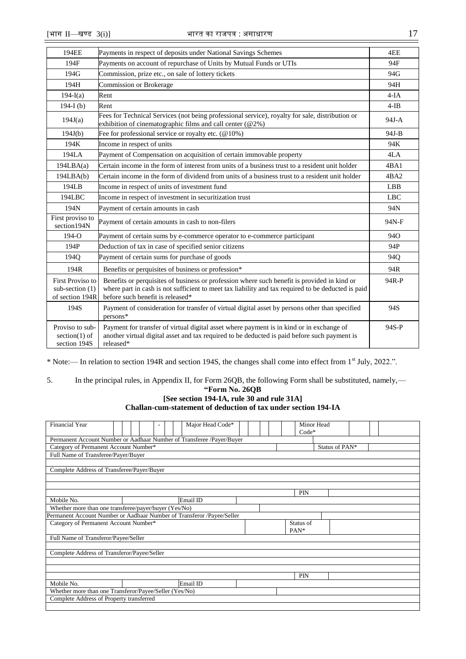section 194S | released\*

| 194EE                                                    | Payments in respect of deposits under National Savings Schemes                                                                                                                                                                        | 4EE        |
|----------------------------------------------------------|---------------------------------------------------------------------------------------------------------------------------------------------------------------------------------------------------------------------------------------|------------|
| 194F                                                     | Payments on account of repurchase of Units by Mutual Funds or UTIs                                                                                                                                                                    | 94F        |
| 194G                                                     | Commission, prize etc., on sale of lottery tickets                                                                                                                                                                                    | 94G        |
| 194H                                                     | <b>Commission or Brokerage</b>                                                                                                                                                                                                        | 94H        |
| $194-I(a)$                                               | Rent                                                                                                                                                                                                                                  | $4-IA$     |
| 194-I $(b)$                                              | Rent                                                                                                                                                                                                                                  | $4-IB$     |
| 194J(a)                                                  | Fees for Technical Services (not being professional service), royalty for sale, distribution or<br>exhibition of cinematographic films and call center (@2%)                                                                          | $94J-A$    |
| 194J(b)                                                  | Fee for professional service or royalty etc. $(@10%)$                                                                                                                                                                                 | 94J-B      |
| 194K                                                     | Income in respect of units                                                                                                                                                                                                            | 94K        |
| 194LA                                                    | Payment of Compensation on acquisition of certain immovable property                                                                                                                                                                  | 4LA        |
| 194LBA(a)                                                | Certain income in the form of interest from units of a business trust to a resident unit holder                                                                                                                                       | 4BA1       |
| 194LBA(b)                                                | Certain income in the form of dividend from units of a business trust to a resident unit holder                                                                                                                                       | 4BA2       |
| 194LB                                                    | Income in respect of units of investment fund                                                                                                                                                                                         | LBB.       |
| 194LBC                                                   | Income in respect of investment in securitization trust                                                                                                                                                                               | <b>LBC</b> |
| 194N                                                     | Payment of certain amounts in cash                                                                                                                                                                                                    | 94N        |
| First proviso to<br>section 194N                         | Payment of certain amounts in cash to non-filers                                                                                                                                                                                      | 94N-F      |
| $194 - O$                                                | Payment of certain sums by e-commerce operator to e-commerce participant                                                                                                                                                              | 940        |
| 194P                                                     | Deduction of tax in case of specified senior citizens                                                                                                                                                                                 | 94P        |
| 1940                                                     | Payment of certain sums for purchase of goods                                                                                                                                                                                         | <b>940</b> |
| 194R                                                     | Benefits or perquisites of business or profession*                                                                                                                                                                                    | 94R        |
| First Proviso to<br>sub-section $(1)$<br>of section 194R | Benefits or perquisites of business or profession where such benefit is provided in kind or<br>where part in cash is not sufficient to meet tax liability and tax required to be deducted is paid<br>before such benefit is released* | 94R-P      |
| 194S                                                     | Payment of consideration for transfer of virtual digital asset by persons other than specified<br>persons*                                                                                                                            | 94S        |
| Proviso to sub-<br>section $(1)$ of                      | Payment for transfer of virtual digital asset where payment is in kind or in exchange of<br>another virtual digital asset and tax required to be deducted is paid before such payment is                                              | 94S-P      |

\* Note:–– In relation to section 194R and section 194S, the changes shall come into effect from 1st July, 2022.".

# 5. In the principal rules, in Appendix II, for Form 26QB, the following Form shall be substituted, namely,––

# **"Form No. 26QB**

# **[See section 194-IA, rule 30 and rule 31A] Challan-cum-statement of deduction of tax under section 194-IA**

| <b>Financial Year</b>                                                  |  |  |  |  | Major Head Code* |  |  |  | Minor Head |                |  |  |  |  |
|------------------------------------------------------------------------|--|--|--|--|------------------|--|--|--|------------|----------------|--|--|--|--|
|                                                                        |  |  |  |  |                  |  |  |  | $Code*$    |                |  |  |  |  |
| Permanent Account Number or Aadhaar Number of Transferee /Payer/Buyer  |  |  |  |  |                  |  |  |  |            |                |  |  |  |  |
| Category of Permanent Account Number*                                  |  |  |  |  |                  |  |  |  |            | Status of PAN* |  |  |  |  |
| Full Name of Transferee/Payer/Buyer                                    |  |  |  |  |                  |  |  |  |            |                |  |  |  |  |
|                                                                        |  |  |  |  |                  |  |  |  |            |                |  |  |  |  |
| Complete Address of Transferee/Payer/Buyer                             |  |  |  |  |                  |  |  |  |            |                |  |  |  |  |
|                                                                        |  |  |  |  |                  |  |  |  |            |                |  |  |  |  |
|                                                                        |  |  |  |  |                  |  |  |  |            |                |  |  |  |  |
|                                                                        |  |  |  |  |                  |  |  |  | <b>PIN</b> |                |  |  |  |  |
| Mobile No.<br>Email ID                                                 |  |  |  |  |                  |  |  |  |            |                |  |  |  |  |
| Whether more than one transferee/payer/buyer (Yes/No)                  |  |  |  |  |                  |  |  |  |            |                |  |  |  |  |
| Permanent Account Number or Aadhaar Number of Transferor /Payee/Seller |  |  |  |  |                  |  |  |  |            |                |  |  |  |  |
| Category of Permanent Account Number*                                  |  |  |  |  |                  |  |  |  | Status of  |                |  |  |  |  |
|                                                                        |  |  |  |  |                  |  |  |  | PAN*       |                |  |  |  |  |
| Full Name of Transferor/Payee/Seller                                   |  |  |  |  |                  |  |  |  |            |                |  |  |  |  |
|                                                                        |  |  |  |  |                  |  |  |  |            |                |  |  |  |  |
| Complete Address of Transferor/Payee/Seller                            |  |  |  |  |                  |  |  |  |            |                |  |  |  |  |
|                                                                        |  |  |  |  |                  |  |  |  |            |                |  |  |  |  |
|                                                                        |  |  |  |  |                  |  |  |  |            |                |  |  |  |  |
|                                                                        |  |  |  |  |                  |  |  |  | <b>PIN</b> |                |  |  |  |  |
| Mobile No.                                                             |  |  |  |  | Email ID         |  |  |  |            |                |  |  |  |  |
| Whether more than one Transferor/Payee/Seller (Yes/No)                 |  |  |  |  |                  |  |  |  |            |                |  |  |  |  |
| Complete Address of Property transferred                               |  |  |  |  |                  |  |  |  |            |                |  |  |  |  |
|                                                                        |  |  |  |  |                  |  |  |  |            |                |  |  |  |  |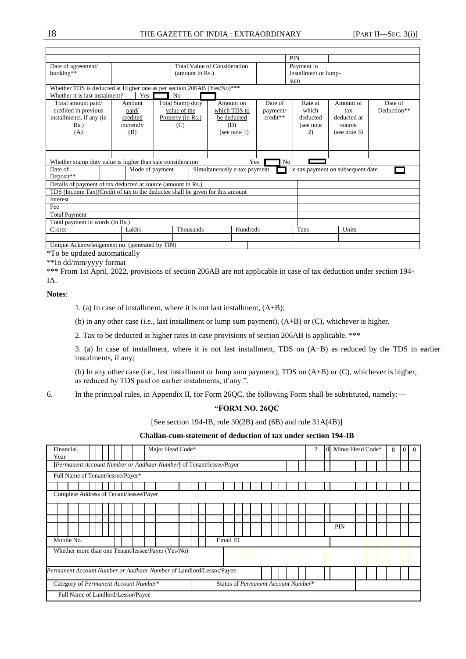## 18 THE GAZETTE OF INDIA : EXTRAORDINARY [PART II—SEC. 3(i)]

|                                                                                |  |                 |                         |                              |                              |         |          | <b>PIN</b> |                                  |  |              |             |
|--------------------------------------------------------------------------------|--|-----------------|-------------------------|------------------------------|------------------------------|---------|----------|------------|----------------------------------|--|--------------|-------------|
| Date of agreement/                                                             |  |                 |                         | Total Value of Consideration |                              |         |          |            | Payment in                       |  |              |             |
| booking**                                                                      |  |                 |                         | (amount in Rs.)              |                              |         |          |            | installment or lump-             |  |              |             |
|                                                                                |  |                 |                         |                              |                              |         |          | sum        |                                  |  |              |             |
| Whether TDS is deducted at Higher rate as per section 206AB (Yes/No)***        |  |                 |                         |                              |                              |         |          |            |                                  |  |              |             |
| Whether it is last instalment?                                                 |  | Yes             |                         |                              |                              |         |          |            |                                  |  |              |             |
| Total amount paid/                                                             |  | Amount          | <b>Total Stamp duty</b> | Date of                      |                              | Rate at |          | Amount of  | Date of                          |  |              |             |
| credited in previous                                                           |  | paid/           |                         | value of the                 | which TDS to                 |         | payment/ |            | which                            |  | tax          | Deduction** |
| installments, if any (in                                                       |  | credited        |                         | Property (in Rs.)            | be deducted                  |         | credit** |            | deducted                         |  | deducted at  |             |
| $Rs.$ )                                                                        |  | currently       |                         | (C)                          | (D)                          |         |          |            | (see note)                       |  | source       |             |
| (A)                                                                            |  | (B)             |                         |                              | (see note $1$ )              |         |          |            | 2)                               |  | (see note 3) |             |
|                                                                                |  |                 |                         |                              |                              |         |          |            |                                  |  |              |             |
|                                                                                |  |                 |                         |                              |                              |         |          |            |                                  |  |              |             |
|                                                                                |  |                 |                         |                              |                              |         |          |            |                                  |  |              |             |
| Whether stamp duty value is higher than sale consideration                     |  |                 |                         |                              |                              | Yes     |          | No         |                                  |  |              |             |
| Date of                                                                        |  | Mode of payment |                         |                              | Simultaneously e-tax payment |         |          |            | e-tax payment on subsequent date |  |              |             |
| Deposit**                                                                      |  |                 |                         |                              |                              |         |          |            |                                  |  |              |             |
| Details of payment of tax deducted at source (amount in Rs.)                   |  |                 |                         |                              |                              |         |          |            |                                  |  |              |             |
| TDS (Income Tax) (Credit of tax to the deductee shall be given for this amount |  |                 |                         |                              |                              |         |          |            |                                  |  |              |             |
| Interest                                                                       |  |                 |                         |                              |                              |         |          |            |                                  |  |              |             |
| Fee                                                                            |  |                 |                         |                              |                              |         |          |            |                                  |  |              |             |
| <b>Total Payment</b>                                                           |  |                 |                         |                              |                              |         |          |            |                                  |  |              |             |
| Total payment in words (in Rs.)                                                |  |                 |                         |                              |                              |         |          |            |                                  |  |              |             |
| Hundreds<br>Tens<br>Lakhs<br>Thousands<br>Units<br>Crores                      |  |                 |                         |                              |                              |         |          |            |                                  |  |              |             |
|                                                                                |  |                 |                         |                              |                              |         |          |            |                                  |  |              |             |
| Unique Acknowledgement no. (generated by TIN)                                  |  |                 |                         |                              |                              |         |          |            |                                  |  |              |             |

\*To be updated automatically

\*\*In dd/mm/yyyy format

\*\*\* From 1st April, 2022, provisions of section 206AB are not applicable in case of tax deduction under section 194-IA.

**Notes**:

1. (a) In case of installment, where it is not last installment, (A+B);

(b) in any other case (i.e., last installment or lump sum payment), (A+B) or (C), whichever is higher.

2. Tax to be deducted at higher rates in case provisions of section 206AB is applicable. \*\*\*

3. (a) In case of installment, where it is not last installment, TDS on (A+B) as reduced by the TDS in earlier instalments, if any;

(b) In any other case (i.e., last installment or lump sum payment), TDS on (A+B) or (C), whichever is higher, as reduced by TDS paid on earlier instalments, if any.".

6. In the principal rules, in Appendix II, for Form 26QC, the following Form shall be substituted, namely:––

**"FORM NO. 26QC**

[See section 194-IB, rule 30(2B) and (6B) and rule 31A(4B)]

## **Challan-cum-statement of deduction of tax under section 194-IB**

| Major Head Code*<br>Financial<br>Year                               |                                     | 2 | $\Omega$ | Minor Head Code* |  |  | 8 | $\overline{0}$ l | $\Omega$ |  |  |  |  |
|---------------------------------------------------------------------|-------------------------------------|---|----------|------------------|--|--|---|------------------|----------|--|--|--|--|
| [Permanent Account Number or Aadhaar Number] of Tenant/lessee/Payer |                                     |   |          |                  |  |  |   |                  |          |  |  |  |  |
| Full Name of Tenant/lessee/Payer*                                   |                                     |   |          |                  |  |  |   |                  |          |  |  |  |  |
|                                                                     |                                     |   |          |                  |  |  |   |                  |          |  |  |  |  |
| Complete Address of Tenant/lessee/Payer                             |                                     |   |          |                  |  |  |   |                  |          |  |  |  |  |
|                                                                     |                                     |   |          |                  |  |  |   |                  |          |  |  |  |  |
|                                                                     |                                     |   |          |                  |  |  |   |                  |          |  |  |  |  |
|                                                                     |                                     |   |          | PIN              |  |  |   |                  |          |  |  |  |  |
| Mobile No.                                                          | Email ID                            |   |          |                  |  |  |   |                  |          |  |  |  |  |
| Whether more than one Tenant/lessee/Payer (Yes/No)                  |                                     |   |          |                  |  |  |   |                  |          |  |  |  |  |
| Permanent Account Number or Aadhaar Number of Landlord/Lessor/Payee |                                     |   |          |                  |  |  |   |                  |          |  |  |  |  |
| Category of Permanent Account Number*                               | Status of Permanent Account Number* |   |          |                  |  |  |   |                  |          |  |  |  |  |
| Full Name of Landlord/Lessor/Payee                                  |                                     |   |          |                  |  |  |   |                  |          |  |  |  |  |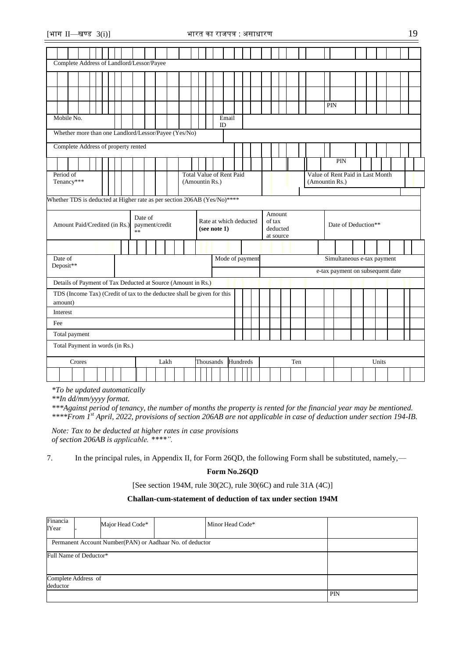amount) Interest Fee

Total payment

| Complete Address of Landlord/Lessor/Payee                                |                                     |  |  |  |  |  |  |  |  |    |         |                |  |  |                |  |              |                                 |  |                            |  |                                           |  |  |  |  |  |                                                    |  |  |  |  |  |  |
|--------------------------------------------------------------------------|-------------------------------------|--|--|--|--|--|--|--|--|----|---------|----------------|--|--|----------------|--|--------------|---------------------------------|--|----------------------------|--|-------------------------------------------|--|--|--|--|--|----------------------------------------------------|--|--|--|--|--|--|
|                                                                          |                                     |  |  |  |  |  |  |  |  |    |         |                |  |  |                |  |              |                                 |  |                            |  |                                           |  |  |  |  |  |                                                    |  |  |  |  |  |  |
|                                                                          |                                     |  |  |  |  |  |  |  |  |    |         |                |  |  |                |  |              |                                 |  |                            |  |                                           |  |  |  |  |  |                                                    |  |  |  |  |  |  |
|                                                                          |                                     |  |  |  |  |  |  |  |  |    |         |                |  |  |                |  |              |                                 |  |                            |  |                                           |  |  |  |  |  | PIN                                                |  |  |  |  |  |  |
| Mobile No.                                                               |                                     |  |  |  |  |  |  |  |  |    |         |                |  |  |                |  | ID           | Email                           |  |                            |  |                                           |  |  |  |  |  |                                                    |  |  |  |  |  |  |
| Whether more than one Landlord/Lessor/Payee (Yes/No)                     |                                     |  |  |  |  |  |  |  |  |    |         |                |  |  |                |  |              |                                 |  |                            |  |                                           |  |  |  |  |  |                                                    |  |  |  |  |  |  |
|                                                                          | Complete Address of property rented |  |  |  |  |  |  |  |  |    |         |                |  |  |                |  |              |                                 |  |                            |  |                                           |  |  |  |  |  |                                                    |  |  |  |  |  |  |
|                                                                          |                                     |  |  |  |  |  |  |  |  |    |         |                |  |  |                |  |              |                                 |  | PIN                        |  |                                           |  |  |  |  |  |                                                    |  |  |  |  |  |  |
| Period of<br>Tenancy***                                                  |                                     |  |  |  |  |  |  |  |  |    |         |                |  |  | (Amountin Rs.) |  |              | <b>Total Value of Rent Paid</b> |  |                            |  |                                           |  |  |  |  |  | Value of Rent Paid in Last Month<br>(Amountin Rs.) |  |  |  |  |  |  |
| Whether TDS is deducted at Higher rate as per section 206AB (Yes/No)**** |                                     |  |  |  |  |  |  |  |  |    |         |                |  |  |                |  |              |                                 |  |                            |  |                                           |  |  |  |  |  |                                                    |  |  |  |  |  |  |
| Amount Paid/Credited (in Rs.)                                            |                                     |  |  |  |  |  |  |  |  | ** | Date of | payment/credit |  |  |                |  | (see note 1) | Rate at which deducted          |  |                            |  | Amount<br>of tax<br>deducted<br>at source |  |  |  |  |  | Date of Deduction**                                |  |  |  |  |  |  |
|                                                                          |                                     |  |  |  |  |  |  |  |  |    |         |                |  |  |                |  |              |                                 |  |                            |  |                                           |  |  |  |  |  |                                                    |  |  |  |  |  |  |
| Date of<br>Mode of payment                                               |                                     |  |  |  |  |  |  |  |  |    |         |                |  |  |                |  |              |                                 |  | Simultaneous e-tax payment |  |                                           |  |  |  |  |  |                                                    |  |  |  |  |  |  |
| Deposit**<br>e-tax payment on subsequent date                            |                                     |  |  |  |  |  |  |  |  |    |         |                |  |  |                |  |              |                                 |  |                            |  |                                           |  |  |  |  |  |                                                    |  |  |  |  |  |  |
| Details of Payment of Tax Deducted at Source (Amount in Rs.)             |                                     |  |  |  |  |  |  |  |  |    |         |                |  |  |                |  |              |                                 |  |                            |  |                                           |  |  |  |  |  |                                                    |  |  |  |  |  |  |

*\*To be updated automatically*

*\*\*In dd/mm/yyyy format.*

Total Payment in words (in Rs.)

\*\*\*Against period of tenancy, the number of months the property is rented for the financial year may be mentioned. *\*\*\*\*From 1st April, 2022, provisions of section 206AB are not applicable in case of deduction under section 194-IB.*

Crores Lakh Thousands Hundreds Ten Units

*Note: Tax to be deducted at higher rates in case provisions of section 206AB is applicable. \*\*\*\*".*

TDS (Income Tax) (Credit of tax to the deductee shall be given for this

7. In the principal rules, in Appendix II, for Form 26QD, the following Form shall be substituted, namely,––

## **Form No.26QD**

[See section 194M, rule 30(2C), rule 30(6C) and rule 31A (4C)]

## **Challan-cum-statement of deduction of tax under section 194M**

| Financia<br>1Year                                        |  | Major Head Code* |  | Minor Head Code* |     |  |  |  |  |
|----------------------------------------------------------|--|------------------|--|------------------|-----|--|--|--|--|
| Permanent Account Number(PAN) or Aadhaar No. of deductor |  |                  |  |                  |     |  |  |  |  |
| Full Name of Deductor*                                   |  |                  |  |                  |     |  |  |  |  |
| Complete Address of                                      |  |                  |  |                  |     |  |  |  |  |
| deductor                                                 |  |                  |  |                  | PIN |  |  |  |  |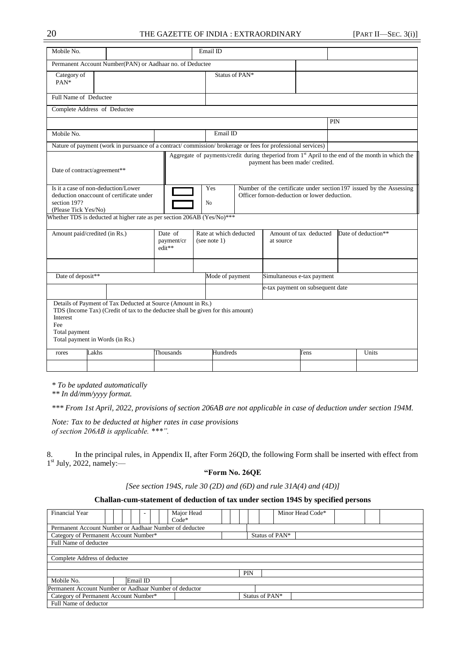## 20 THE GAZETTE OF INDIA : EXTRAORDINARY [PART II—SEC. 3(i)]

| Mobile No.                                                                                                              |                                                                                                                                                                                    |                                  |  | Email ID                                                                                                                                     |  |                                                                                                               |      |            |                     |  |
|-------------------------------------------------------------------------------------------------------------------------|------------------------------------------------------------------------------------------------------------------------------------------------------------------------------------|----------------------------------|--|----------------------------------------------------------------------------------------------------------------------------------------------|--|---------------------------------------------------------------------------------------------------------------|------|------------|---------------------|--|
|                                                                                                                         | Permanent Account Number(PAN) or Aadhaar no. of Deductee                                                                                                                           |                                  |  |                                                                                                                                              |  |                                                                                                               |      |            |                     |  |
| Category of<br>PAN*                                                                                                     |                                                                                                                                                                                    | Status of PAN*                   |  |                                                                                                                                              |  |                                                                                                               |      |            |                     |  |
| Full Name of Deductee                                                                                                   |                                                                                                                                                                                    |                                  |  |                                                                                                                                              |  |                                                                                                               |      |            |                     |  |
|                                                                                                                         | Complete Address of Deductee                                                                                                                                                       |                                  |  |                                                                                                                                              |  |                                                                                                               |      |            |                     |  |
|                                                                                                                         |                                                                                                                                                                                    |                                  |  |                                                                                                                                              |  |                                                                                                               |      | <b>PIN</b> |                     |  |
| Mobile No.                                                                                                              |                                                                                                                                                                                    |                                  |  | Email ID                                                                                                                                     |  |                                                                                                               |      |            |                     |  |
|                                                                                                                         | Nature of payment (work in pursuance of a contract/commission/brokerage or fees for professional services)                                                                         |                                  |  |                                                                                                                                              |  |                                                                                                               |      |            |                     |  |
|                                                                                                                         | Date of contract/agreement**                                                                                                                                                       |                                  |  | payment has been made/ credited.                                                                                                             |  | Aggregate of payments/credit during theperiod from 1 <sup>st</sup> April to the end of the month in which the |      |            |                     |  |
| Is it a case of non-deduction/Lower<br>deduction onaccount of certificate under<br>section 197?<br>(Please Tick Yes/No) |                                                                                                                                                                                    |                                  |  | Yes<br>Number of the certificate under section 197 issued by the Assessing<br>Officer fornon-deduction or lower deduction.<br>N <sub>0</sub> |  |                                                                                                               |      |            |                     |  |
|                                                                                                                         | Whether TDS is deducted at higher rate as per section 206AB (Yes/No)***                                                                                                            |                                  |  |                                                                                                                                              |  |                                                                                                               |      |            |                     |  |
| Amount paid/credited (in Rs.)                                                                                           |                                                                                                                                                                                    | Date of<br>payment/cr<br>edit**  |  | Rate at which deducted<br>(see note 1)                                                                                                       |  | Amount of tax deducted<br>at source                                                                           |      |            | Date of deduction** |  |
|                                                                                                                         |                                                                                                                                                                                    |                                  |  |                                                                                                                                              |  |                                                                                                               |      |            |                     |  |
|                                                                                                                         | Date of deposit**                                                                                                                                                                  |                                  |  |                                                                                                                                              |  | Simultaneous e-tax payment                                                                                    |      |            |                     |  |
|                                                                                                                         |                                                                                                                                                                                    | e-tax payment on subsequent date |  |                                                                                                                                              |  |                                                                                                               |      |            |                     |  |
| Interest<br>Fee<br>Total payment                                                                                        | Details of Payment of Tax Deducted at Source (Amount in Rs.)<br>TDS (Income Tax) (Credit of tax to the deductee shall be given for this amount)<br>Total payment in Words (in Rs.) |                                  |  | Hundreds                                                                                                                                     |  |                                                                                                               |      |            |                     |  |
| rores                                                                                                                   | Lakhs<br>Thousands                                                                                                                                                                 |                                  |  |                                                                                                                                              |  |                                                                                                               | Tens |            | Units               |  |
|                                                                                                                         |                                                                                                                                                                                    |                                  |  |                                                                                                                                              |  |                                                                                                               |      |            |                     |  |

*\* To be updated automatically*

*\*\* In dd/mm/yyyy format.*

*\*\*\* From 1st April, 2022, provisions of section 206AB are not applicable in case of deduction under section 194M.*

*Note: Tax to be deducted at higher rates in case provisions of section 206AB is applicable. \*\*\*".*

8. In the principal rules, in Appendix II, after Form 26QD, the following Form shall be inserted with effect from  $1<sup>st</sup>$  July, 2022, namely:—

## **"Form No. 26QE**

*[See section 194S, rule 30 (2D) and (6D) and rule 31A(4) and (4D)]*

### **Challan-cum-statement of deduction of tax under section 194S by specified persons**

| <b>Financial Year</b>                                  |          | Major Head<br>$Code*$ |  |                | Minor Head Code* |  |  |  |  |
|--------------------------------------------------------|----------|-----------------------|--|----------------|------------------|--|--|--|--|
|                                                        |          |                       |  |                |                  |  |  |  |  |
| Permanent Account Number or Aadhaar Number of deductee |          |                       |  |                |                  |  |  |  |  |
| Category of Permanent Account Number*                  |          |                       |  | Status of PAN* |                  |  |  |  |  |
| Full Name of deductee                                  |          |                       |  |                |                  |  |  |  |  |
|                                                        |          |                       |  |                |                  |  |  |  |  |
| Complete Address of deductee                           |          |                       |  |                |                  |  |  |  |  |
|                                                        |          |                       |  |                |                  |  |  |  |  |
|                                                        |          |                       |  | PIN            |                  |  |  |  |  |
| Mobile No.                                             | Email ID |                       |  |                |                  |  |  |  |  |
| Permanent Account Number or Aadhaar Number of deductor |          |                       |  |                |                  |  |  |  |  |
| Category of Permanent Account Number*                  |          |                       |  |                | Status of PAN*   |  |  |  |  |
| Full Name of deductor                                  |          |                       |  |                |                  |  |  |  |  |